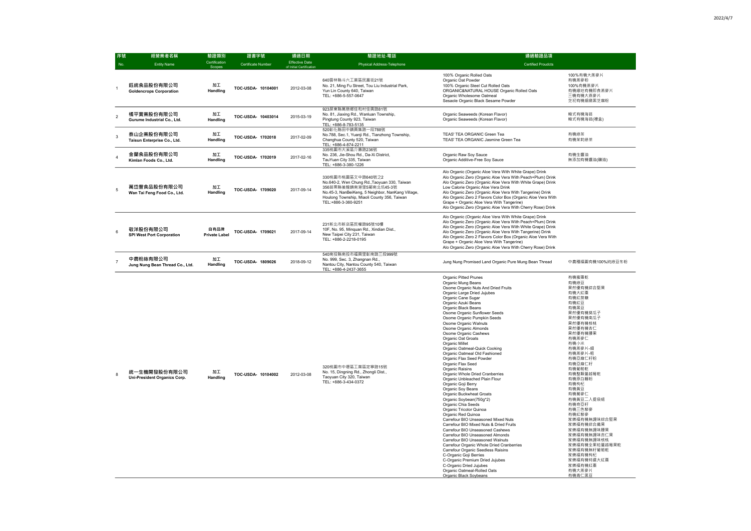100%有機大燕麥片 有機燕麥粉 100%有機燕麥片 有機緣地有機即食燕麥片 三機有機大燕麥片 芝初有機細緻黑芝麻粉

韓式有機海苔 韓式有機海苔(禮盒)

有機綠茶 有機茉莉綠茶

有機生醬油 無添加有機醬油(釀造)

中農種福園有機100%純綠豆冬粉

| 序號             | 經營業者名稱                                       | 驗證類別                         | 證書字號                      | 通過日期                                              | 驗證地址-電話                                                                                                                                                                                                                 | 通過驗證品項                                                                                                                                                                                                                                                                                                                                                                                                                                                                                                                                                                                                                                                                                                                                                                                                                                                                                                                                                                                                                                                                                                                                                                                                       |
|----------------|----------------------------------------------|------------------------------|---------------------------|---------------------------------------------------|-------------------------------------------------------------------------------------------------------------------------------------------------------------------------------------------------------------------------|--------------------------------------------------------------------------------------------------------------------------------------------------------------------------------------------------------------------------------------------------------------------------------------------------------------------------------------------------------------------------------------------------------------------------------------------------------------------------------------------------------------------------------------------------------------------------------------------------------------------------------------------------------------------------------------------------------------------------------------------------------------------------------------------------------------------------------------------------------------------------------------------------------------------------------------------------------------------------------------------------------------------------------------------------------------------------------------------------------------------------------------------------------------------------------------------------------------|
| No.            | <b>Entity Name</b>                           | Certification<br>Scopes      | <b>Certificate Number</b> | <b>Effective Date</b><br>of Initial Certification | Physical Address-Telephone                                                                                                                                                                                              | <b>Certified Proudcts</b>                                                                                                                                                                                                                                                                                                                                                                                                                                                                                                                                                                                                                                                                                                                                                                                                                                                                                                                                                                                                                                                                                                                                                                                    |
|                | 鈺統食品股份有限公司<br><b>Goldencrops Corporation</b> | 加工<br>Handling               | TOC-USDA- 10104001        | 2012-03-08                                        | 640雲林縣斗六工業區民富街21號<br>No. 21, Ming Fu Street, Tou Liu Industrial Park,<br>Yun Lin County 640, Taiwan<br>TEL: +886-5-557-0647                                                                                             | 100% Organic Rolled Oats<br>Organic Oat Powder<br>100% Organic Steel Cut Rolled Oats<br>ORGANIC&NATURAL HOUSE Organic Rolled Oats<br>Organic Wholesome Oatmeal<br>Sesaole Organic Black Sesame Powder                                                                                                                                                                                                                                                                                                                                                                                                                                                                                                                                                                                                                                                                                                                                                                                                                                                                                                                                                                                                        |
| $\overline{2}$ | 橘平實業股份有限公司<br>Gurume Industrial Co., Ltd.    | 加工<br>Handling               | TOC-USDA- 10403014        | 2015-03-19                                        | 923屏東縣萬巒鄉佳和村佳興路81號<br>No. 81, Jiaxing Rd., Wanluan Township,<br>Pingtung County 923, Taiwan<br>TEL: +886-8-783-5135                                                                                                     | Organic Seaweeds (Korean Flavor)<br>Organic Seaweeds (Korean Flavor)                                                                                                                                                                                                                                                                                                                                                                                                                                                                                                                                                                                                                                                                                                                                                                                                                                                                                                                                                                                                                                                                                                                                         |
| 3              | 泰山企業股份有限公司<br>Taisun Enterprise Co., Ltd.    | 加工<br>Handling               | TOC-USDA- 1702018         | 2017-02-09                                        | 520彰化縣田中鎮員集路一段788號<br>No.788, Sec.1, Yuanji Rd., Tianzhong Township,<br>Changhua County 520, Taiwan<br>TEL: +886-4-874-2211                                                                                             | TEAS' TEA ORGANIC Green Tea<br>TEAS' TEA ORGANIC Jasmine Green Tea                                                                                                                                                                                                                                                                                                                                                                                                                                                                                                                                                                                                                                                                                                                                                                                                                                                                                                                                                                                                                                                                                                                                           |
| 4              | 金蘭食品股份有限公司<br>Kimlan Foods Co., Ltd.         | 加工<br>Handling               | TOC-USDA- 1702019         | 2017-02-16                                        | 335桃園市大溪區介壽路236號<br>No. 236, Jie-Shou Rd., Da-Xi District,<br>TauYuan City 335, Taiwan<br>TEL: +886-3-380-1226                                                                                                          | Organic Raw Soy Sauce<br>Organic Additive-Free Soy Sauce                                                                                                                                                                                                                                                                                                                                                                                                                                                                                                                                                                                                                                                                                                                                                                                                                                                                                                                                                                                                                                                                                                                                                     |
| 5              | 萬岱豐食品股份有限公司<br>Wan Tai Feng Food Co., Ltd.   | 加工<br>Handling               | TOC-USDA- 1709020         | 2017-09-14                                        | 330桃園市桃園區文中路640號之2<br>No.640-2, Wen Chung Rd., Taoyuan 330, Taiwan<br>356苗栗縣後龍鎮南港里5鄰南北坑45-3號<br>No.45-3, NanBeiKeng, 5 Neighbor, NanKang Village,<br>Houlong Township, Miaoli County 356, Taiwan<br>TEL:+886-3-360-9251 | Alo Organic (Organic Aloe Vera With White Grape) Drink<br>Alo Organic Zero (Organic Aloe Vera With Peach+Plum) Drink<br>Alo Organic Zero (Organic Aloe Vera With White Grape) Drink<br>Low Calorie Organic Aloe Vera Drink<br>Alo Organic Zero (Organic Aloe Vera With Tangerine) Drink<br>Alo Organic Zero 2 Flavors Color Box (Organic Aloe Vera With<br>Grape + Organic Aloe Vera With Tangerine)<br>Alo Organic Zero (Organic Aloe Vera With Cherry Rose) Drink                                                                                                                                                                                                                                                                                                                                                                                                                                                                                                                                                                                                                                                                                                                                          |
| 6              | 敬洋股份有限公司<br><b>SPI West Port Corporation</b> | 自有品牌<br><b>Private Label</b> | TOC-USDA- 1709021         | 2017-09-14                                        | 231新北市新店區民權路95號10樓<br>10F, No. 95, Minquan Rd., Xindian Dist.,<br>New Taipei City 231, Taiwan<br>TEL: +886-2-2218-0195                                                                                                  | Alo Organic (Organic Aloe Vera With White Grape) Drink<br>Alo Organic Zero (Organic Aloe Vera With Peach+Plum) Drink<br>Alo Organic Zero (Organic Aloe Vera With White Grape) Drink<br>Alo Organic Zero (Organic Aloe Vera With Tangerine) Drink<br>Alo Organic Zero 2 Flavors Color Box (Organic Aloe Vera With<br>Grape + Organic Aloe Vera With Tangerine)<br>Alo Organic Zero (Organic Aloe Vera With Cherry Rose) Drink                                                                                                                                                                                                                                                                                                                                                                                                                                                                                                                                                                                                                                                                                                                                                                                 |
| $\overline{7}$ | 中農粉絲有限公司<br>Jung Nung Bean Thread Co., Ltd.  | 加工<br>Handling               | TOC-USDA- 1809026         | 2018-09-12                                        | 540南投縣南投市福興里彰南路三段999號<br>No. 999, Sec. 3, Zhangnan Rd.,<br>Nantou City, Nantou County 540, Taiwan<br>TEL: +886-4-2437-3655                                                                                              | Jung Nung Promised Land Organic Pure Mung Bean Thread                                                                                                                                                                                                                                                                                                                                                                                                                                                                                                                                                                                                                                                                                                                                                                                                                                                                                                                                                                                                                                                                                                                                                        |
| 8              | 統一生機開發股份有限公司<br>Uni-President Organics Corp. | 加工<br>Handling               | TOC-USDA- 10104002        | 2012-03-08                                        | 320桃園市中壢區工業區定寧路15號<br>No. 15, Dingning Rd., Zhongli Dist.,<br>Taoyuan City 320, Taiwan<br>TEL: +886-3-434-0372                                                                                                          | <b>Organic Pitted Prunes</b><br>Organic Mung Beans<br>Osome Organic Nuts And Dried Fruits<br>Organic Large Dried Jujubes<br>Organic Cane Sugar<br>Organic Azuki Beans<br>Organic Black Beans<br>Osome Organic Sunflower Seeds<br>Osome Organic Pumpkin Seeds<br>Osome Organic Walnuts<br>Osome Organic Almonds<br>Osome Organic Cashews<br>Organic Oat Groats<br>Organic Millet<br>Organic Oatmeal-Quick Cooking<br>Organic Oatmeal Old Fashioned<br>Organic Flax Seed Powder<br>Organic Flax Seed<br>Organic Raisins<br>Organic Whole Dried Cranberries<br>Organic Unbleached Plain Flour<br>Organic Goji Berry<br>Organic Soy Beans<br><b>Organic Buckwheat Groats</b><br>Organic Soybean(750g*2)<br>Organic Chia Seeds<br>Organic Tricolor Quinoa<br>Organic Red Quinoa<br>Carrefour BIO Unseasoned Mixed Nuts<br>Carrefour BIO Mixed Nuts & Dried Fruits<br>Carrefour BIO Unseasoned Cashews<br>Carrefour BIO Unseasoned Almonds<br>Carrefour BIO Unseasoned Walnuts<br>Carrefour Organic Whole Dried Cranberries<br>Carrefour Organic Seedless Raisins<br>C-Organic Goji Berries<br>C-Organic Premium Dried Jujubes<br>C-Organic Dried Jujubes<br>Organic Oatmeal-Rolled Oats<br>Organic Black Soybeans |

有機蜜棗乾 有機綠豆 果然優有機綜合堅果 有機大紅棗 有機紅蔗糖 有機紅豆 有機黑豆 果然優有機葵瓜子 果然優有機南瓜子 果然優有機核桃 果然優有機杏仁 果然優有機腰果 有機燕麥仁 有機小米 有機燕麥片-細 有機燕麥片-粗 有機亞麻仁籽粉 有機亞麻仁籽 有機葡萄乾 有機整顆蔓越莓乾 有機原白麵粉 有機枸杞 有機黃豆 有機蕎麥仁 有機黃豆二入提袋組 有機奇亞籽 有機三色藜麥 有機紅藜麥 家樂福有機無調味綜合堅果 家樂福有機綜合纖果 家樂福有機無調味腰果 家樂福有機無調味杏仁果 家樂福有機無調味核桃 家樂福有機全果粒蔓越莓果乾 家樂福有機無籽葡萄乾 家樂福有機枸杞 家樂福有機特選大紅棗 家樂福有機紅棗 有機大燕麥片 有機青仁黑豆